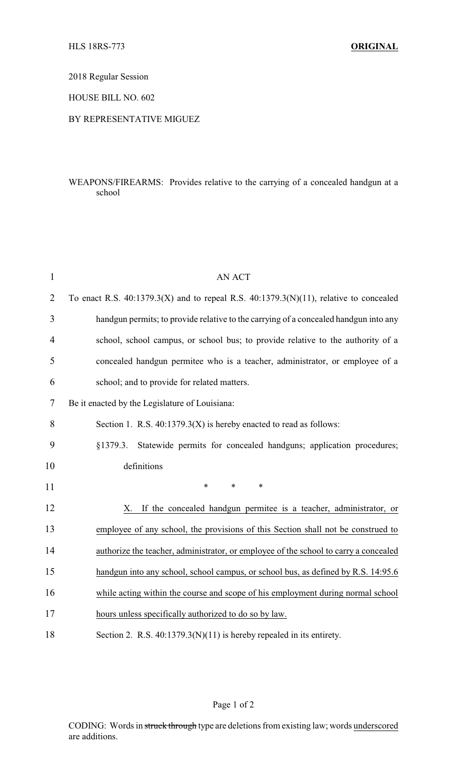2018 Regular Session

HOUSE BILL NO. 602

## BY REPRESENTATIVE MIGUEZ

## WEAPONS/FIREARMS: Provides relative to the carrying of a concealed handgun at a school

| $\mathbf{1}$   | <b>AN ACT</b>                                                                              |
|----------------|--------------------------------------------------------------------------------------------|
| $\overline{2}$ | To enact R.S. $40:1379.3(X)$ and to repeal R.S. $40:1379.3(N)(11)$ , relative to concealed |
| 3              | handgun permits; to provide relative to the carrying of a concealed handgun into any       |
| $\overline{4}$ | school, school campus, or school bus; to provide relative to the authority of a            |
| 5              | concealed handgun permitee who is a teacher, administrator, or employee of a               |
| 6              | school; and to provide for related matters.                                                |
| 7              | Be it enacted by the Legislature of Louisiana:                                             |
| 8              | Section 1. R.S. $40:1379.3(X)$ is hereby enacted to read as follows:                       |
| 9              | Statewide permits for concealed handguns; application procedures;<br>§1379.3.              |
| 10             | definitions                                                                                |
| 11             | $\ast$<br>$\ast$<br>$\ast$                                                                 |
| 12             | If the concealed handgun permitee is a teacher, administrator, or<br>Х.                    |
| 13             | employee of any school, the provisions of this Section shall not be construed to           |
| 14             | authorize the teacher, administrator, or employee of the school to carry a concealed       |
| 15             | handgun into any school, school campus, or school bus, as defined by R.S. 14:95.6          |
| 16             | while acting within the course and scope of his employment during normal school            |
| 17             | hours unless specifically authorized to do so by law.                                      |
| 18             | Section 2. R.S. $40:1379.3(N)(11)$ is hereby repealed in its entirety.                     |